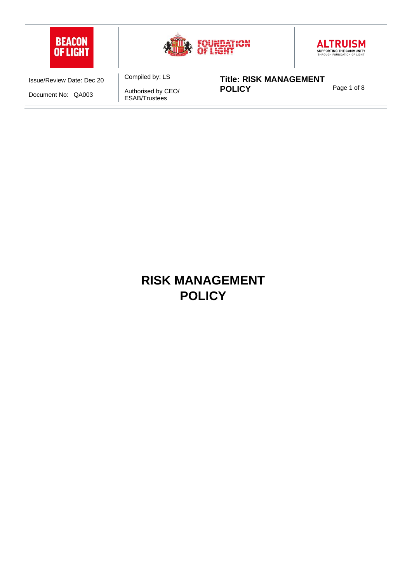

# **RISK MANAGEMENT POLICY**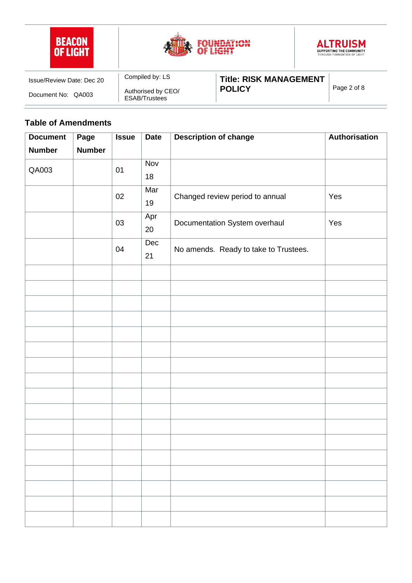





| Issue/Review Date: Dec 20 | Compiled by: LS                     | <b>Title: RISK MANAGEMENT</b> |             |
|---------------------------|-------------------------------------|-------------------------------|-------------|
| Document No:<br>QA003     | Authorised by CEO/<br>ESAB/Trustees | <b>POLICY</b>                 | Page 2 of 8 |

#### **Table of Amendments**

| <b>Document</b> | Page          | <b>Issue</b> | <b>Date</b> | <b>Description of change</b>          | Authorisation |
|-----------------|---------------|--------------|-------------|---------------------------------------|---------------|
| <b>Number</b>   | <b>Number</b> |              |             |                                       |               |
| QA003           | 01            | Nov          |             |                                       |               |
|                 |               |              | 18          |                                       |               |
|                 |               | 02           | Mar<br>19   | Changed review period to annual       | Yes           |
|                 |               | 03           | Apr<br>20   | Documentation System overhaul         | Yes           |
|                 |               |              | Dec         |                                       |               |
|                 |               | 04           | 21          | No amends. Ready to take to Trustees. |               |
|                 |               |              |             |                                       |               |
|                 |               |              |             |                                       |               |
|                 |               |              |             |                                       |               |
|                 |               |              |             |                                       |               |
|                 |               |              |             |                                       |               |
|                 |               |              |             |                                       |               |
|                 |               |              |             |                                       |               |
|                 |               |              |             |                                       |               |
|                 |               |              |             |                                       |               |
|                 |               |              |             |                                       |               |
|                 |               |              |             |                                       |               |
|                 |               |              |             |                                       |               |
|                 |               |              |             |                                       |               |
|                 |               |              |             |                                       |               |
|                 |               |              |             |                                       |               |
|                 |               |              |             |                                       |               |
|                 |               |              |             |                                       |               |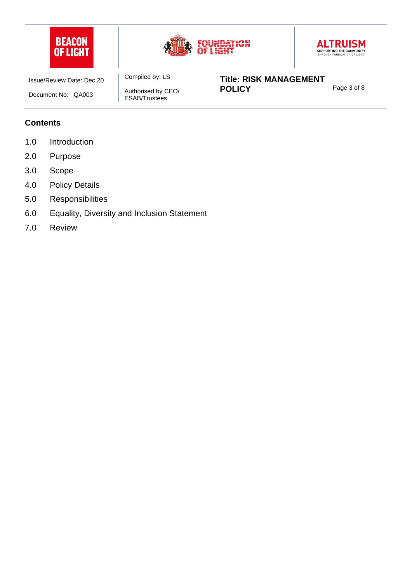

#### **Contents**

- 1.0 Introduction
- 2.0 Purpose
- 3.0 Scope
- 4.0 Policy Details
- 5.0 Responsibilities
- 6.0 Equality, Diversity and Inclusion Statement
- 7.0 Review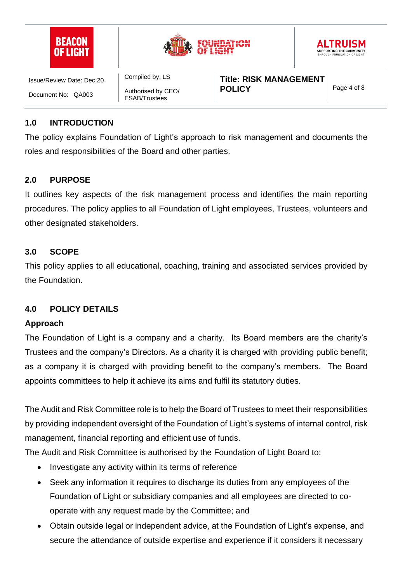| <b>BEACON</b><br><b>OF LIGHT</b> |                                            | F LIGHT                       |  | <b>ALTRUISM</b><br>SUPPORTING THE COMMUNITY<br>THROUGH FOUNDATION OF LIGHT |
|----------------------------------|--------------------------------------------|-------------------------------|--|----------------------------------------------------------------------------|
| Issue/Review Date: Dec 20        | Compiled by: LS                            | <b>Title: RISK MANAGEMENT</b> |  |                                                                            |
| Document No: QA003               | Authorised by CEO/<br><b>ESAB/Trustees</b> | <b>POLICY</b>                 |  | Page 4 of 8                                                                |

## **1.0 INTRODUCTION**

The policy explains Foundation of Light's approach to risk management and documents the roles and responsibilities of the Board and other parties.

#### **2.0 PURPOSE**

It outlines key aspects of the risk management process and identifies the main reporting procedures. The policy applies to all Foundation of Light employees, Trustees, volunteers and other designated stakeholders.

#### **3.0 SCOPE**

This policy applies to all educational, coaching, training and associated services provided by the Foundation.

## **4.0 POLICY DETAILS**

#### **Approach**

The Foundation of Light is a company and a charity. Its Board members are the charity's Trustees and the company's Directors. As a charity it is charged with providing public benefit; as a company it is charged with providing benefit to the company's members. The Board appoints committees to help it achieve its aims and fulfil its statutory duties.

The Audit and Risk Committee role is to help the Board of Trustees to meet their responsibilities by providing independent oversight of the Foundation of Light's systems of internal control, risk management, financial reporting and efficient use of funds.

The Audit and Risk Committee is authorised by the Foundation of Light Board to:

- Investigate any activity within its terms of reference
- Seek any information it requires to discharge its duties from any employees of the Foundation of Light or subsidiary companies and all employees are directed to cooperate with any request made by the Committee; and
- Obtain outside legal or independent advice, at the Foundation of Light's expense, and secure the attendance of outside expertise and experience if it considers it necessary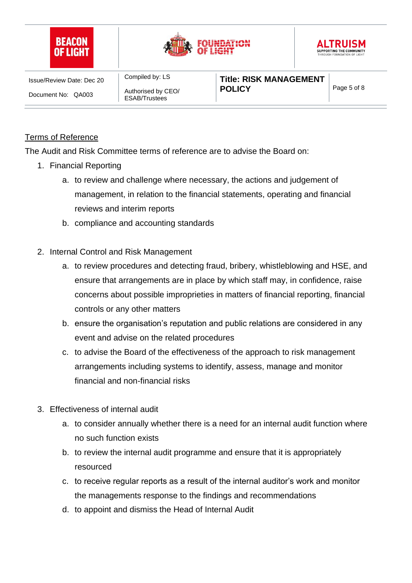

#### Terms of Reference

The Audit and Risk Committee terms of reference are to advise the Board on:

- 1. Financial Reporting
	- a. to review and challenge where necessary, the actions and judgement of management, in relation to the financial statements, operating and financial reviews and interim reports
	- b. compliance and accounting standards
- 2. Internal Control and Risk Management
	- a. to review procedures and detecting fraud, bribery, whistleblowing and HSE, and ensure that arrangements are in place by which staff may, in confidence, raise concerns about possible improprieties in matters of financial reporting, financial controls or any other matters
	- b. ensure the organisation's reputation and public relations are considered in any event and advise on the related procedures
	- c. to advise the Board of the effectiveness of the approach to risk management arrangements including systems to identify, assess, manage and monitor financial and non-financial risks
- 3. Effectiveness of internal audit
	- a. to consider annually whether there is a need for an internal audit function where no such function exists
	- b. to review the internal audit programme and ensure that it is appropriately resourced
	- c. to receive regular reports as a result of the internal auditor's work and monitor the managements response to the findings and recommendations
	- d. to appoint and dismiss the Head of Internal Audit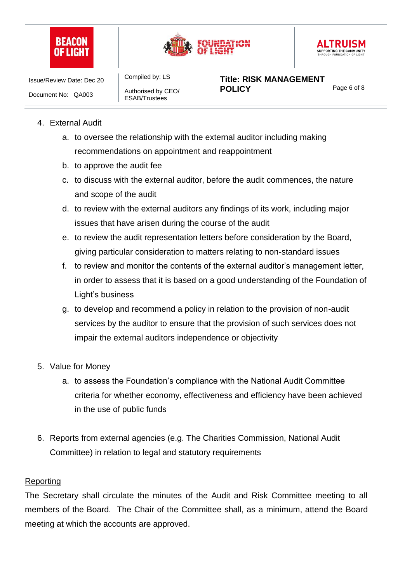





Compiled by: LS Authorised by CEO/ ESAB/Trustees

# 4. External Audit

- a. to oversee the relationship with the external auditor including making recommendations on appointment and reappointment
- b. to approve the audit fee
- c. to discuss with the external auditor, before the audit commences, the nature and scope of the audit
- d. to review with the external auditors any findings of its work, including major issues that have arisen during the course of the audit
- e. to review the audit representation letters before consideration by the Board, giving particular consideration to matters relating to non-standard issues
- f. to review and monitor the contents of the external auditor's management letter, in order to assess that it is based on a good understanding of the Foundation of Light's business
- g. to develop and recommend a policy in relation to the provision of non-audit services by the auditor to ensure that the provision of such services does not impair the external auditors independence or objectivity
- 5. Value for Money
	- a. to assess the Foundation's compliance with the National Audit Committee criteria for whether economy, effectiveness and efficiency have been achieved in the use of public funds
- 6. Reports from external agencies (e.g. The Charities Commission, National Audit Committee) in relation to legal and statutory requirements

## Reporting

The Secretary shall circulate the minutes of the Audit and Risk Committee meeting to all members of the Board. The Chair of the Committee shall, as a minimum, attend the Board meeting at which the accounts are approved.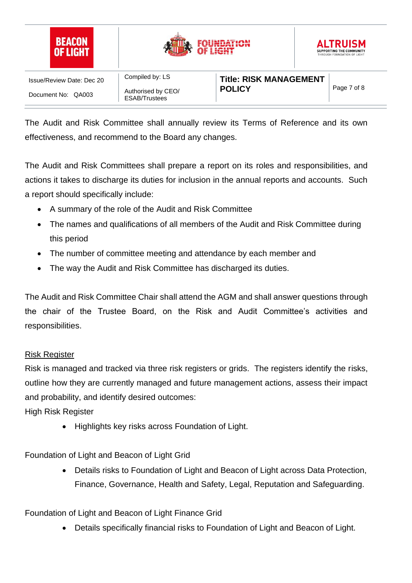

The Audit and Risk Committee shall annually review its Terms of Reference and its own effectiveness, and recommend to the Board any changes.

The Audit and Risk Committees shall prepare a report on its roles and responsibilities, and actions it takes to discharge its duties for inclusion in the annual reports and accounts. Such a report should specifically include:

- A summary of the role of the Audit and Risk Committee
- The names and qualifications of all members of the Audit and Risk Committee during this period
- The number of committee meeting and attendance by each member and
- The way the Audit and Risk Committee has discharged its duties.

The Audit and Risk Committee Chair shall attend the AGM and shall answer questions through the chair of the Trustee Board, on the Risk and Audit Committee's activities and responsibilities.

#### Risk Register

Risk is managed and tracked via three risk registers or grids. The registers identify the risks, outline how they are currently managed and future management actions, assess their impact and probability, and identify desired outcomes:

High Risk Register

• Highlights key risks across Foundation of Light.

Foundation of Light and Beacon of Light Grid

• Details risks to Foundation of Light and Beacon of Light across Data Protection, Finance, Governance, Health and Safety, Legal, Reputation and Safeguarding.

## Foundation of Light and Beacon of Light Finance Grid

• Details specifically financial risks to Foundation of Light and Beacon of Light.